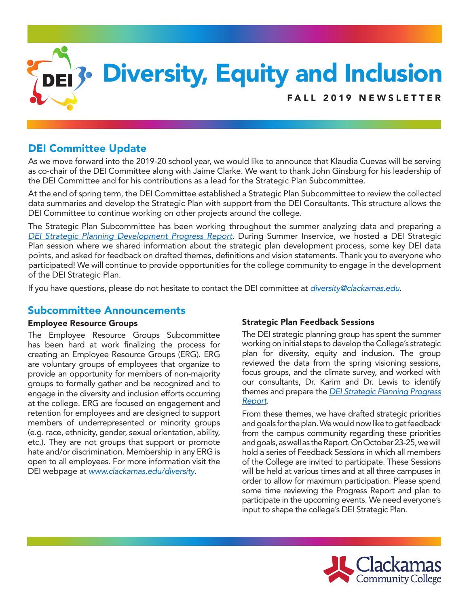

# DEI Committee Update

As we move forward into the 2019-20 school year, we would like to announce that Klaudia Cuevas will be serving as co-chair of the DEI Committee along with Jaime Clarke. We want to thank John Ginsburg for his leadership of the DEI Committee and for his contributions as a lead for the Strategic Plan Subcommittee.

At the end of spring term, the DEI Committee established a Strategic Plan Subcommittee to review the collected data summaries and develop the Strategic Plan with support from the DEI Consultants. This structure allows the DEI Committee to continue working on other projects around the college.

The Strategic Plan Subcommittee has been working throughout the summer analyzing data and preparing a *[DEI Strategic Planning Development Progress Report](https://www.clackamas.edu/docs/default-source/about-us/vision-initiatives/dei-strategic-planning-progress-report.pdf?sfvrsn=ffb88e68_6)*. During Summer Inservice, we hosted a DEI Strategic Plan session where we shared information about the strategic plan development process, some key DEI data points, and asked for feedback on drafted themes, definitions and vision statements. Thank you to everyone who participated! We will continue to provide opportunities for the college community to engage in the development of the DEI Strategic Plan.

If you have questions, please do not hesitate to contact the DEI committee at *[diversity@clackamas.edu](mailto:diversity@clackamas.edu)*.

### Subcommittee Announcements

#### Employee Resource Groups

The Employee Resource Groups Subcommittee has been hard at work finalizing the process for creating an Employee Resource Groups (ERG). ERG are voluntary groups of employees that organize to provide an opportunity for members of non-majority groups to formally gather and be recognized and to engage in the diversity and inclusion efforts occurring at the college. ERG are focused on engagement and retention for employees and are designed to support members of underrepresented or minority groups (e.g. race, ethnicity, gender, sexual orientation, ability, etc.). They are not groups that support or promote hate and/or discrimination. Membership in any ERG is open to all employees. For more information visit the DEI webpage at *[www.clackamas.edu/diversity](http://www.clackamas.edu/diversity)*.

### Strategic Plan Feedback Sessions

The DEI strategic planning group has spent the summer working on initial steps to develop the College's strategic plan for diversity, equity and inclusion. The group reviewed the data from the spring visioning sessions, focus groups, and the climate survey, and worked with our consultants, Dr. Karim and Dr. Lewis to identify themes and prepare the *[DEI Strategic Planning Progress](https://www.clackamas.edu/docs/default-source/about-us/vision-initiatives/dei-strategic-planning-progress-report.pdf?sfvrsn=ffb88e68_6)  [Report](https://www.clackamas.edu/docs/default-source/about-us/vision-initiatives/dei-strategic-planning-progress-report.pdf?sfvrsn=ffb88e68_6)*.

From these themes, we have drafted strategic priorities and goals for the plan. We would now like to get feedback from the campus community regarding these priorities and goals, as well as the Report. On October 23-25, we will hold a series of Feedback Sessions in which all members of the College are invited to participate. These Sessions will be held at various times and at all three campuses in order to allow for maximum participation. Please spend some time reviewing the Progress Report and plan to participate in the upcoming events. We need everyone's input to shape the college's DEI Strategic Plan.

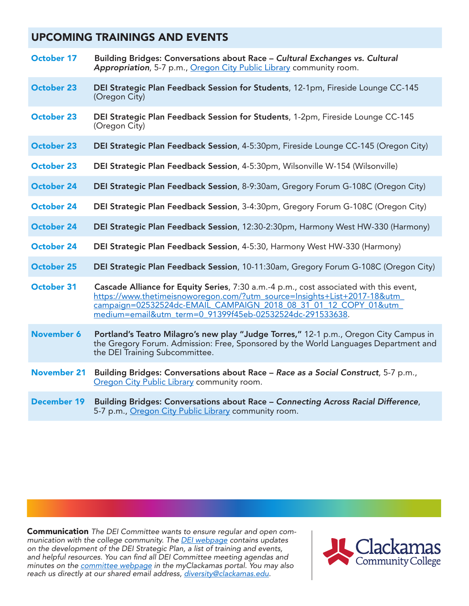# UPCOMING TRAININGS AND EVENTS

| October 17         | Building Bridges: Conversations about Race - Cultural Exchanges vs. Cultural<br>Appropriation, 5-7 p.m., Oregon City Public Library community room.                                                                                                                                                |
|--------------------|----------------------------------------------------------------------------------------------------------------------------------------------------------------------------------------------------------------------------------------------------------------------------------------------------|
| <b>October 23</b>  | DEI Strategic Plan Feedback Session for Students, 12-1pm, Fireside Lounge CC-145<br>(Oregon City)                                                                                                                                                                                                  |
| <b>October 23</b>  | DEI Strategic Plan Feedback Session for Students, 1-2pm, Fireside Lounge CC-145<br>(Oregon City)                                                                                                                                                                                                   |
| <b>October 23</b>  | DEI Strategic Plan Feedback Session, 4-5:30pm, Fireside Lounge CC-145 (Oregon City)                                                                                                                                                                                                                |
| <b>October 23</b>  | DEI Strategic Plan Feedback Session, 4-5:30pm, Wilsonville W-154 (Wilsonville)                                                                                                                                                                                                                     |
| <b>October 24</b>  | DEI Strategic Plan Feedback Session, 8-9:30am, Gregory Forum G-108C (Oregon City)                                                                                                                                                                                                                  |
| <b>October 24</b>  | DEI Strategic Plan Feedback Session, 3-4:30pm, Gregory Forum G-108C (Oregon City)                                                                                                                                                                                                                  |
| <b>October 24</b>  | DEI Strategic Plan Feedback Session, 12:30-2:30pm, Harmony West HW-330 (Harmony)                                                                                                                                                                                                                   |
| <b>October 24</b>  | DEI Strategic Plan Feedback Session, 4-5:30, Harmony West HW-330 (Harmony)                                                                                                                                                                                                                         |
| <b>October 25</b>  | DEI Strategic Plan Feedback Session, 10-11:30am, Gregory Forum G-108C (Oregon City)                                                                                                                                                                                                                |
| <b>October 31</b>  | Cascade Alliance for Equity Series, 7:30 a.m.-4 p.m., cost associated with this event,<br>https://www.thetimeisnoworegon.com/?utm_source=lnsights+List+2017-18&utm_<br>campaign=02532524dc-EMAIL CAMPAIGN 2018 08 31 01 12 COPY 01&utm<br>medium=email&utm_term=0_91399f45eb-02532524dc-291533638. |
| <b>November 6</b>  | Portland's Teatro Milagro's new play "Judge Torres," 12-1 p.m., Oregon City Campus in<br>the Gregory Forum. Admission: Free, Sponsored by the World Languages Department and<br>the DEI Training Subcommittee.                                                                                     |
| <b>November 21</b> | Building Bridges: Conversations about Race - Race as a Social Construct, 5-7 p.m.,<br>Oregon City Public Library community room.                                                                                                                                                                   |
| <b>December 19</b> | Building Bridges: Conversations about Race - Connecting Across Racial Difference,<br>5-7 p.m., Oregon City Public Library community room.                                                                                                                                                          |

Communication *The DEI Committee wants to ensure regular and open communication with the college community. The [DEI webpage](https://www.clackamas.edu/about-us/vision-initatives/diversity-equity-and-inclusion) contains updates on the development of the DEI Strategic Plan, a list of training and events, and helpful resources. You can find all DEI Committee meeting agendas and minutes on the [committee webpage](http://webappsrv.clackamas.edu/committees/DEI/) in the myClackamas portal. You may also reach us directly at our shared email address, [diversity@clackamas.edu](mailto:diversity@clackamas.edu).*